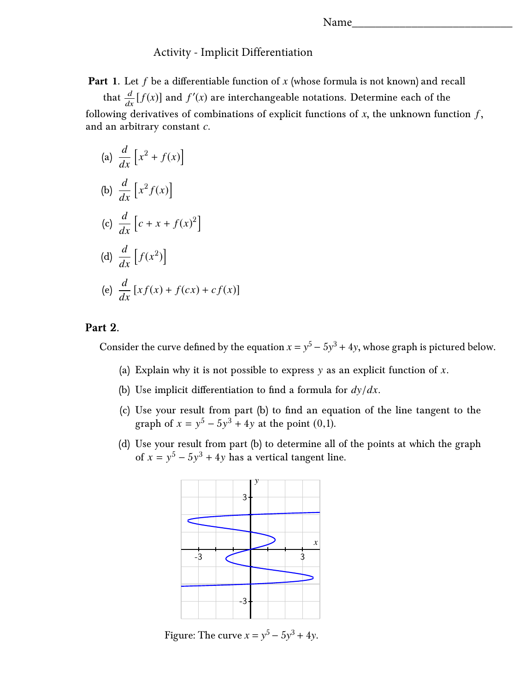## Activity - Implicit Differentiation

**Part 1.** Let *f* be a differentiable function of *x* (whose formula is not known) and recall

that  $\frac{d}{dx}[f(x)]$  and  $f'(x)$  are interchangeable notations. Determine each of the following derivatives of combinations of explicit functions of  $x$ , the unknown function  $f$ , and an arbitrary constant *c*.

(a) 
$$
\frac{d}{dx} \left[ x^2 + f(x) \right]
$$
  
\n(b) 
$$
\frac{d}{dx} \left[ x^2 f(x) \right]
$$
  
\n(c) 
$$
\frac{d}{dx} \left[ c + x + f(x)^2 \right]
$$
  
\n(d) 
$$
\frac{d}{dx} \left[ f(x^2) \right]
$$
  
\n(e) 
$$
\frac{d}{dx} \left[ xf(x) + f(cx) + cf(x) \right]
$$

## **Part 2.**

Consider the curve defined by the equation  $x = y^5 - 5y^3 + 4y$ , whose graph is pictured below.

- (a) Explain why it is not possible to express y as an explicit function of *x*.
- (b) Use implicit differentiation to find a formula for *<sup>d</sup>*y/*dx*.
- (c) Use your result from part (b) to find an equation of the line tangent to the graph of  $x = y^5 - 5y^3 + 4y$  at the point (0,1).
- (d) Use your result from part (b) to determine all of the points at which the graph of  $x = y^5 - 5y^3 + 4y$  has a vertical tangent line.



Figure: The curve  $x = y^5 - 5y^3 + 4y$ .